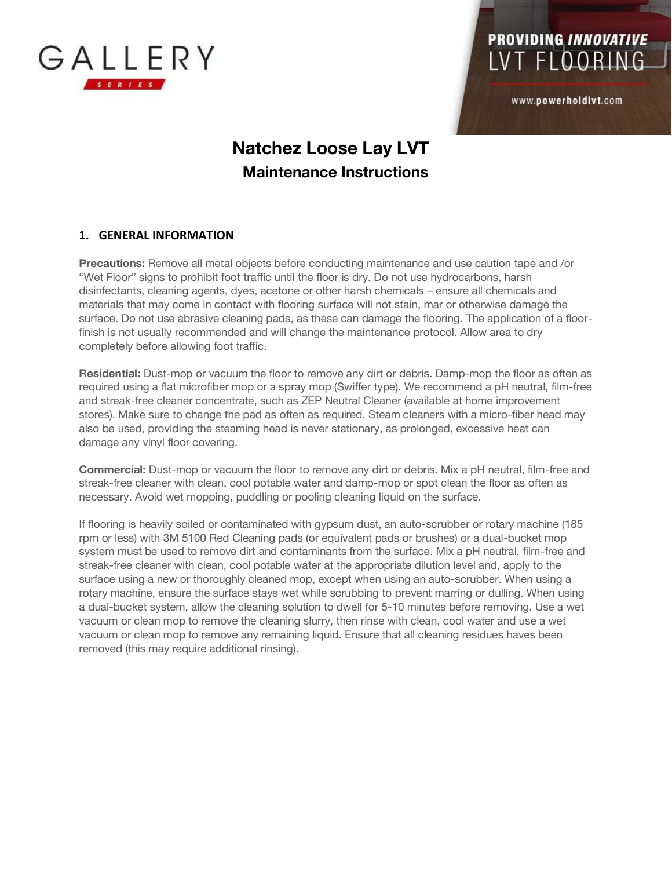

# **PROVIDING INNOVATIVE** LVT FLOORING

www.powerholdlvt.com

### **Natchez Loose Lay LVT Maintenance Instructions**

#### **1. GENERAL INFORMATION**

**Precautions:** Remove all metal objects before conducting maintenance and use caution tape and /or "Wet Floor" signs to prohibit foot traffic until the floor is dry. Do not use hydrocarbons, harsh disinfectants, cleaning agents, dyes, acetone or other harsh chemicals – ensure all chemicals and materials that may come in contact with flooring surface will not stain, mar or otherwise damage the surface. Do not use abrasive cleaning pads, as these can damage the flooring. The application of a floorfinish is not usually recommended and will change the maintenance protocol. Allow area to dry completely before allowing foot traffic.

**Residential:** Dust-mop or vacuum the floor to remove any dirt or debris. Damp-mop the floor as often as required using a flat microfiber mop or a spray mop (Swiffer type). We recommend a pH neutral, film-free and streak-free cleaner concentrate, such as ZEP Neutral Cleaner (available at home improvement stores). Make sure to change the pad as often as required. Steam cleaners with a micro-fiber head may also be used, providing the steaming head is never stationary, as prolonged, excessive heat can damage any vinyl floor covering.

**Commercial:** Dust-mop or vacuum the floor to remove any dirt or debris. Mix a pH neutral, film-free and streak-free cleaner with clean, cool potable water and damp-mop or spot clean the floor as often as necessary. Avoid wet mopping, puddling or pooling cleaning liquid on the surface.

If flooring is heavily soiled or contaminated with gypsum dust, an auto-scrubber or rotary machine (185 rpm or less) with 3M 5100 Red Cleaning pads (or equivalent pads or brushes) or a dual-bucket mop system must be used to remove dirt and contaminants from the surface. Mix a pH neutral, film-free and streak-free cleaner with clean, cool potable water at the appropriate dilution level and, apply to the surface using a new or thoroughly cleaned mop, except when using an auto-scrubber. When using a rotary machine, ensure the surface stays wet while scrubbing to prevent marring or dulling. When using a dual-bucket system, allow the cleaning solution to dwell for 5-10 minutes before removing. Use a wet vacuum or clean mop to remove the cleaning slurry, then rinse with clean, cool water and use a wet vacuum or clean mop to remove any remaining liquid. Ensure that all cleaning residues haves been removed (this may require additional rinsing).